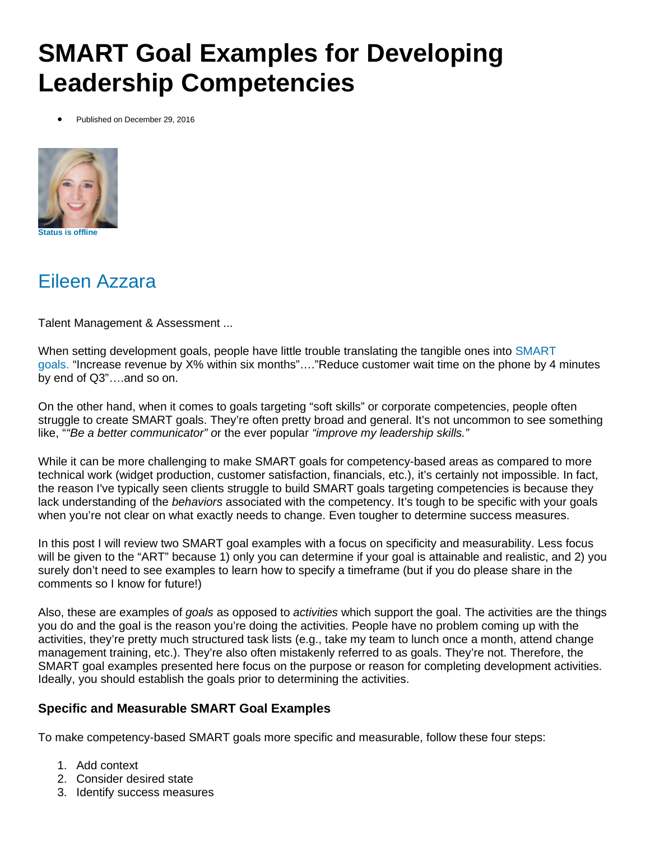# **SMART Goal Examples for Developing Leadership Competencies**

Published on December 29, 2016



### Eileen [Azzara](https://www.linkedin.com/in/eileenazzara/)

Talent Management & Assessment ...

When setting development goals, people have little trouble translating the tangible ones into [SMART](https://en.wikipedia.org/wiki/SMART_criteria) [goals.](https://en.wikipedia.org/wiki/SMART_criteria) "Increase revenue by X% within six months"…."Reduce customer wait time on the phone by 4 minutes by end of Q3"….and so on.

On the other hand, when it comes to goals targeting "soft skills" or corporate competencies, people often struggle to create SMART goals. They're often pretty broad and general. It's not uncommon to see something like, "*"Be a better communicator" o*r the ever popular *"improve my leadership skills."*

While it can be more challenging to make SMART goals for competency-based areas as compared to more technical work (widget production, customer satisfaction, financials, etc.), it's certainly not impossible. In fact, the reason I've typically seen clients struggle to build SMART goals targeting competencies is because they lack understanding of the *behaviors* associated with the competency. It's tough to be specific with your goals when you're not clear on what exactly needs to change. Even tougher to determine success measures.

In this post I will review two SMART goal examples with a focus on specificity and measurability. Less focus will be given to the "ART" because 1) only you can determine if your goal is attainable and realistic, and 2) you surely don't need to see examples to learn how to specify a timeframe (but if you do please share in the comments so I know for future!)

Also, these are examples of *goals* as opposed to *activities* which support the goal. The activities are the things you do and the goal is the reason you're doing the activities. People have no problem coming up with the activities, they're pretty much structured task lists (e.g., take my team to lunch once a month, attend change management training, etc.). They're also often mistakenly referred to as goals. They're not. Therefore, the SMART goal examples presented here focus on the purpose or reason for completing development activities. Ideally, you should establish the goals prior to determining the activities.

#### **Specific and Measurable SMART Goal Examples**

To make competency-based SMART goals more specific and measurable, follow these four steps:

- 1. Add context
- 2. Consider desired state
- 3. Identify success measures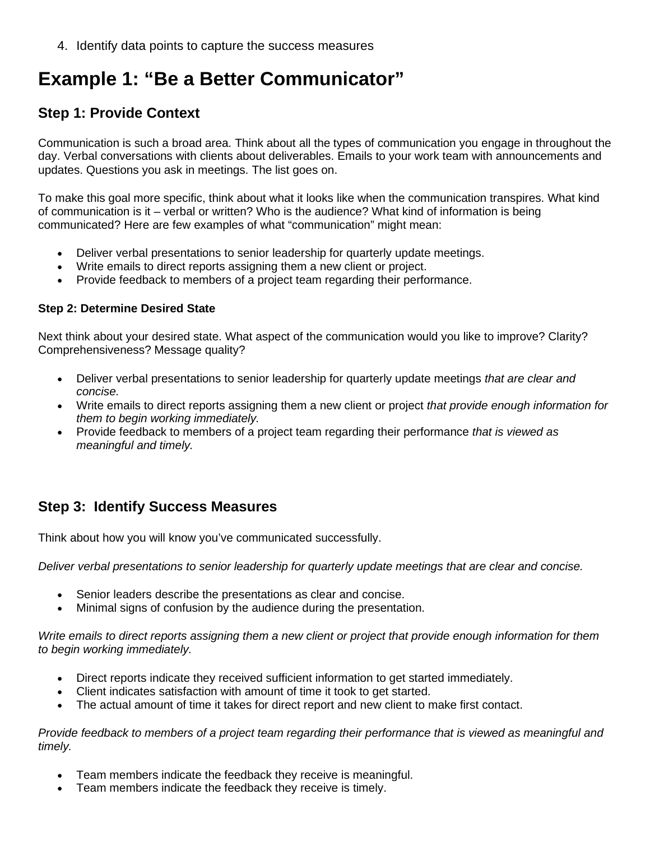4. Identify data points to capture the success measures

## **Example 1: "Be a Better Communicator"**

#### **Step 1: Provide Context**

Communication is such a broad area. Think about all the types of communication you engage in throughout the day. Verbal conversations with clients about deliverables. Emails to your work team with announcements and updates. Questions you ask in meetings. The list goes on.

To make this goal more specific, think about what it looks like when the communication transpires. What kind of communication is it – verbal or written? Who is the audience? What kind of information is being communicated? Here are few examples of what "communication" might mean:

- Deliver verbal presentations to senior leadership for quarterly update meetings.
- Write emails to direct reports assigning them a new client or project.
- Provide feedback to members of a project team regarding their performance.

#### **Step 2: Determine Desired State**

Next think about your desired state. What aspect of the communication would you like to improve? Clarity? Comprehensiveness? Message quality?

- Deliver verbal presentations to senior leadership for quarterly update meetings *that are clear and concise.*
- Write emails to direct reports assigning them a new client or project *that provide enough information for them to begin working immediately.*
- Provide feedback to members of a project team regarding their performance *that is viewed as meaningful and timely.*

#### **Step 3: Identify Success Measures**

Think about how you will know you've communicated successfully.

*Deliver verbal presentations to senior leadership for quarterly update meetings that are clear and concise.*

- Senior leaders describe the presentations as clear and concise.
- Minimal signs of confusion by the audience during the presentation.

*Write emails to direct reports assigning them a new client or project that provide enough information for them to begin working immediately.*

- Direct reports indicate they received sufficient information to get started immediately.
- Client indicates satisfaction with amount of time it took to get started.
- The actual amount of time it takes for direct report and new client to make first contact.

*Provide feedback to members of a project team regarding their performance that is viewed as meaningful and timely.*

- Team members indicate the feedback they receive is meaningful.
- Team members indicate the feedback they receive is timely.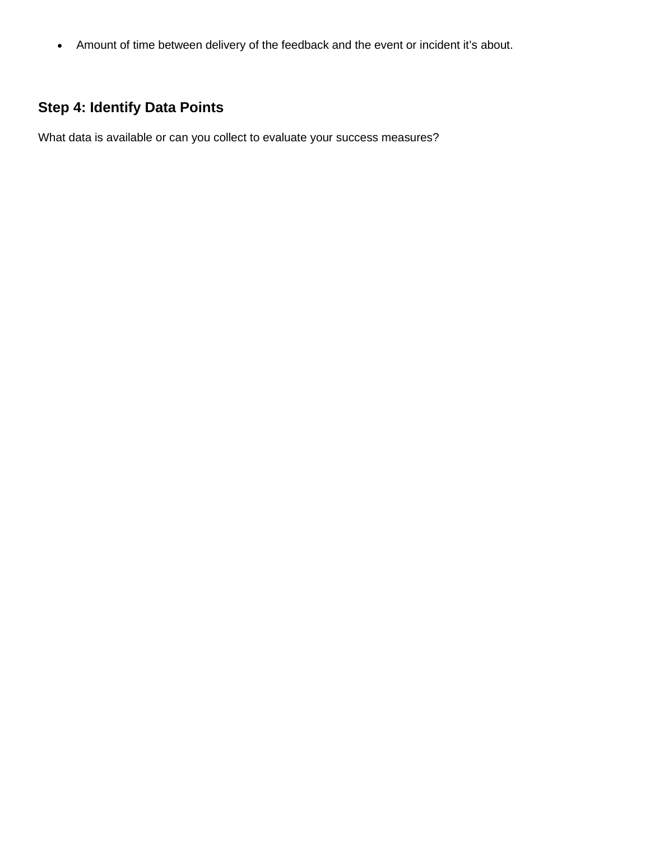• Amount of time between delivery of the feedback and the event or incident it's about.

### **Step 4: Identify Data Points**

What data is available or can you collect to evaluate your success measures?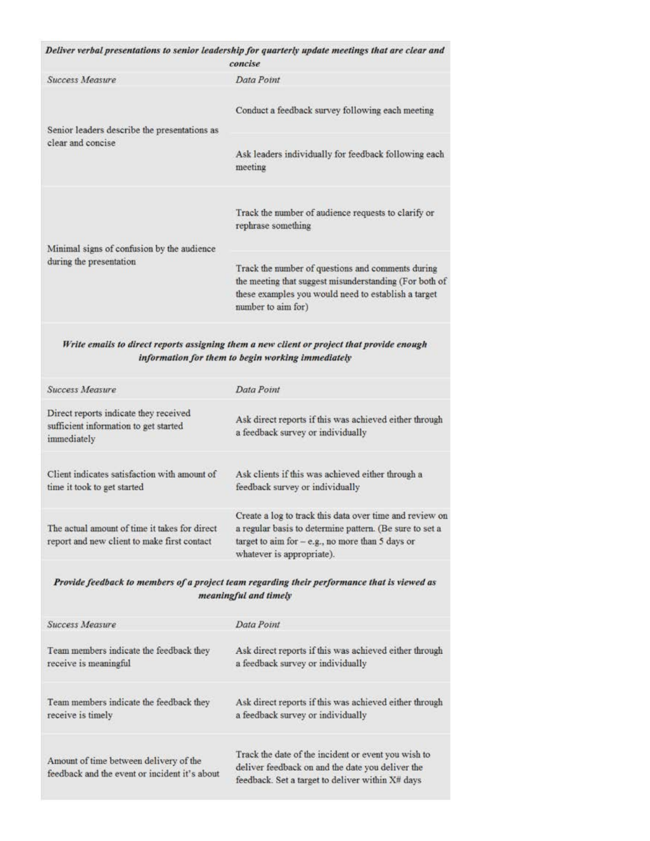|                                                                                               | Deliver verbal presentations to senior leadership for quarterly update meetings that are clear and<br>concise                                                                           |
|-----------------------------------------------------------------------------------------------|-----------------------------------------------------------------------------------------------------------------------------------------------------------------------------------------|
| Success Measure                                                                               | Data Point                                                                                                                                                                              |
| Senior leaders describe the presentations as<br>clear and concise                             | Conduct a feedback survey following each meeting                                                                                                                                        |
|                                                                                               | Ask leaders individually for feedback following each<br>meeting                                                                                                                         |
| Minimal signs of confusion by the audience<br>during the presentation                         | Track the number of audience requests to clarify or<br>rephrase something                                                                                                               |
|                                                                                               | Track the number of questions and comments during<br>the meeting that suggest misunderstanding (For both o<br>these examples you would need to establish a target<br>number to aim for) |
|                                                                                               | Write emails to direct reports assigning them a new client or project that provide enough<br>information for them to begin working immediately                                          |
| <b>Success Measure</b>                                                                        | Data Point                                                                                                                                                                              |
| Direct reports indicate they received<br>sufficient information to get started<br>immediately | Ask direct reports if this was achieved either through<br>a feedback survey or individually                                                                                             |
|                                                                                               |                                                                                                                                                                                         |

Client indicates satisfaction with amount of Ask clients if this was achieved either through a time it took to get started feedback survey or individually

Create a log to track this data over time and review on The actual amount of time it takes for direct a regular basis to determine pattern. (Be sure to set a report and new client to make first contact target to aim for - e.g., no more than 5 days or whatever is appropriate).

Provide feedback to members of a project team regarding their performance that is viewed as meaningful and timely

| <b>Success Measure</b>                                                                  | Data Point                                                                                                                                                  |
|-----------------------------------------------------------------------------------------|-------------------------------------------------------------------------------------------------------------------------------------------------------------|
| Team members indicate the feedback they                                                 | Ask direct reports if this was achieved either through                                                                                                      |
| receive is meaningful                                                                   | a feedback survey or individually                                                                                                                           |
| Team members indicate the feedback they                                                 | Ask direct reports if this was achieved either through                                                                                                      |
| receive is timely                                                                       | a feedback survey or individually                                                                                                                           |
| Amount of time between delivery of the<br>feedback and the event or incident it's about | Track the date of the incident or event you wish to<br>deliver feedback on and the date you deliver the<br>feedback. Set a target to deliver within X# days |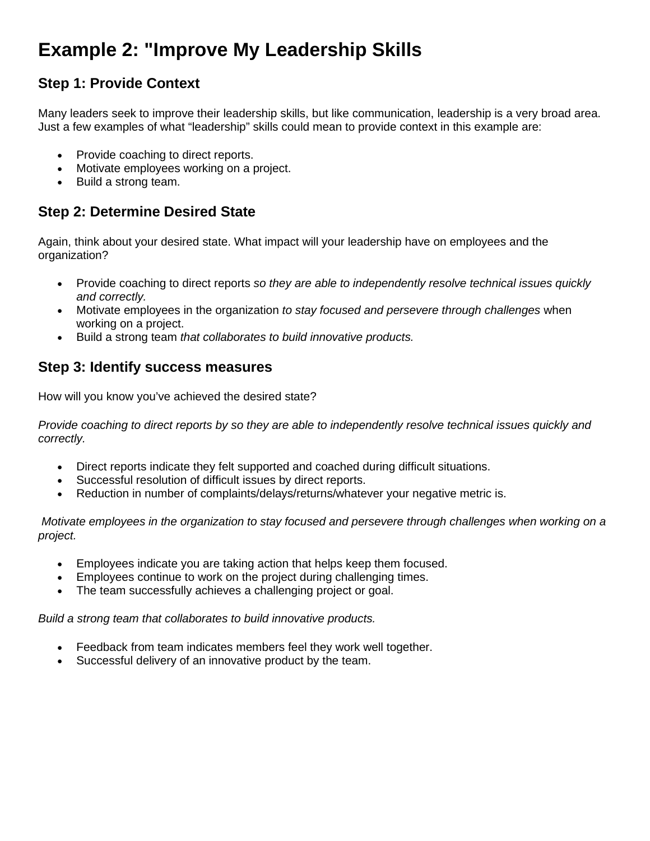## **Example 2: "Improve My Leadership Skills**

### **Step 1: Provide Context**

Many leaders seek to improve their leadership skills, but like communication, leadership is a very broad area. Just a few examples of what "leadership" skills could mean to provide context in this example are:

- Provide coaching to direct reports.
- Motivate employees working on a project.
- Build a strong team.

### **Step 2: Determine Desired State**

Again, think about your desired state. What impact will your leadership have on employees and the organization?

- Provide coaching to direct reports *so they are able to independently resolve technical issues quickly and correctly.*
- Motivate employees in the organization *to stay focused and persevere through challenges* when working on a project.
- Build a strong team *that collaborates to build innovative products.*

#### **Step 3: Identify success measures**

How will you know you've achieved the desired state?

*Provide coaching to direct reports by so they are able to independently resolve technical issues quickly and correctly.*

- Direct reports indicate they felt supported and coached during difficult situations.
- Successful resolution of difficult issues by direct reports.
- Reduction in number of complaints/delays/returns/whatever your negative metric is.

*Motivate employees in the organization to stay focused and persevere through challenges when working on a project.*

- Employees indicate you are taking action that helps keep them focused.
- Employees continue to work on the project during challenging times.
- The team successfully achieves a challenging project or goal.

*Build a strong team that collaborates to build innovative products.*

- Feedback from team indicates members feel they work well together.
- Successful delivery of an innovative product by the team.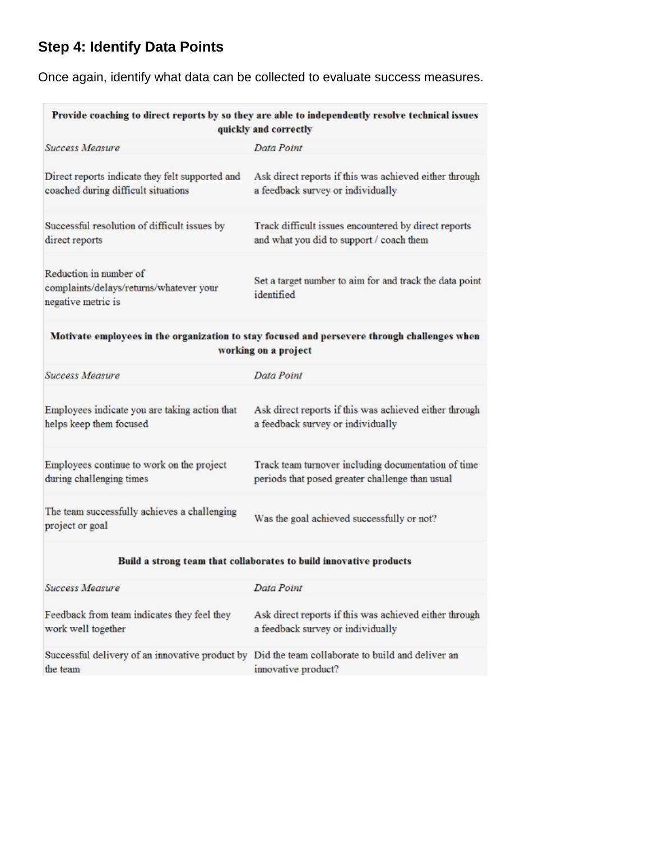### **Step 4: Identify Data Points**

Once again, identify what data can be collected to evaluate success measures.

| Provide coaching to direct reports by so they are able to independently resolve technical issues<br>quickly and correctly |                                                                                                        |
|---------------------------------------------------------------------------------------------------------------------------|--------------------------------------------------------------------------------------------------------|
| <b>Success Measure</b>                                                                                                    | Data Point                                                                                             |
| Direct reports indicate they felt supported and<br>coached during difficult situations                                    | Ask direct reports if this was achieved either through<br>a feedback survey or individually            |
| Successful resolution of difficult issues by<br>direct reports                                                            | Track difficult issues encountered by direct reports<br>and what you did to support / coach them       |
| Reduction in number of<br>complaints/delays/returns/whatever your<br>negative metric is                                   | Set a target number to aim for and track the data point<br>identified                                  |
| Motivate employees in the organization to stay focused and persevere through challenges when<br>working on a project      |                                                                                                        |
| <b>Success Measure</b>                                                                                                    | Data Point                                                                                             |
| Employees indicate you are taking action that<br>helps keep them focused                                                  | Ask direct reports if this was achieved either through<br>a feedback survey or individually            |
| Employees continue to work on the project<br>during challenging times                                                     | Track team turnover including documentation of time<br>periods that posed greater challenge than usual |
| The team successfully achieves a challenging<br>project or goal                                                           | Was the goal achieved successfully or not?                                                             |
| Build a strong team that collaborates to build innovative products                                                        |                                                                                                        |
| <b>Success Measure</b>                                                                                                    | <b>Data Point</b>                                                                                      |
| Feedback from team indicates they feel they<br>work well together                                                         | Ask direct reports if this was achieved either through<br>a feedback survey or individually            |

Successful delivery of an innovative product by Did the team collaborate to build and deliver an the team innovative product?